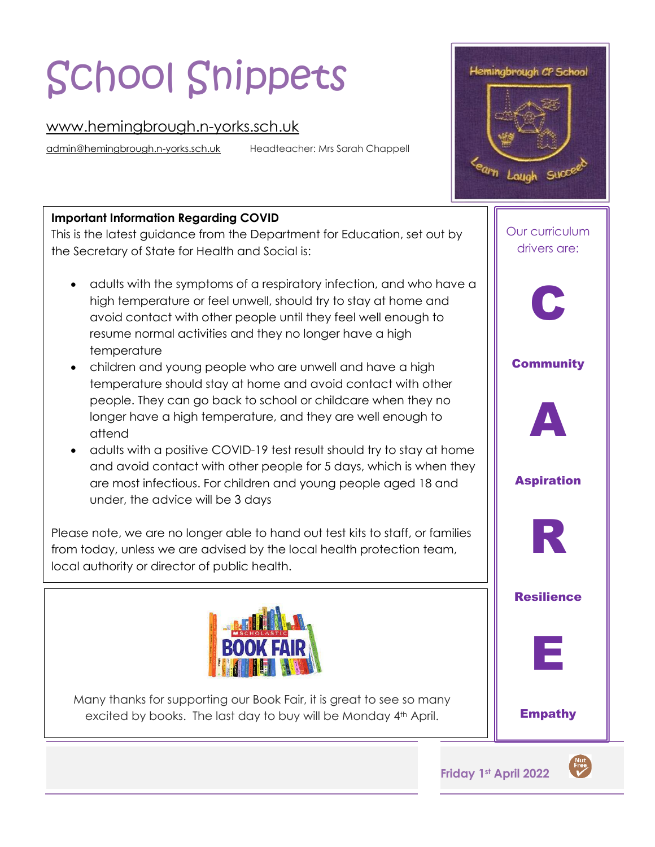# School Snippets

## [www.hemingbrough.n-yorks.sch.uk](http://www.hemingbrough.n-yorks.sch.uk/)

[admin@hemingbrough.n-yorks.sch.uk](mailto:admin@hemingbrough.n-yorks.sch.uk) Headteacher: Mrs Sarah Chappell

## **Important Information Regarding COVID**

 This is the latest guidance from the Department for Education, set out by the Secretary of State for Health and Social is:

- adults with the symptoms of a respiratory infection, and who have a high temperature or feel unwell, should try to stay at home and avoid contact with other people until they feel well enough to resume normal activities and they no longer have a high temperature
- children and young people who are unwell and have a high temperature should stay at home and avoid contact with other people. They can go back to school or childcare when they no longer have a high temperature, and they are well enough to attend
- adults with a positive COVID-19 test result should try to stay at home and avoid contact with other people for 5 days, which is when they are most infectious. For children and young people aged 18 and under, the advice will be 3 days

Please note, we are no longer able to hand out test kits to staff, or families from today, unless we are advised by the local health protection team, local authority or director of public health.



Many thanks for supporting our Book Fair, it is great to see so many excited by books. The last day to buy will be Monday 4<sup>th</sup> April.



Hemingbrough CP School